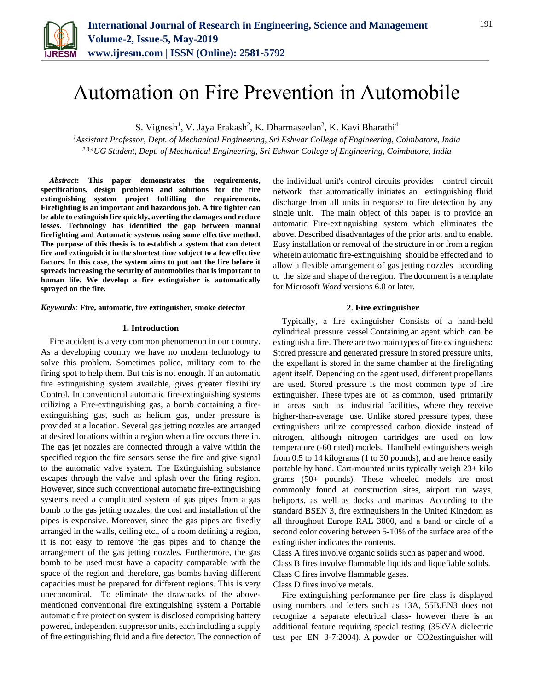

# Automation on Fire Prevention in Automobile

S. Vignesh<sup>1</sup>, V. Jaya Prakash<sup>2</sup>, K. Dharmaseelan<sup>3</sup>, K. Kavi Bharathi<sup>4</sup>

*<sup>1</sup>Assistant Professor, Dept. of Mechanical Engineering, Sri Eshwar College of Engineering, Coimbatore, India 2,3,4UG Student, Dept. of Mechanical Engineering, Sri Eshwar College of Engineering, Coimbatore, India*

*Abstract***: This paper demonstrates the requirements, specifications, design problems and solutions for the fire extinguishing system project fulfilling the requirements. Firefighting is an important and hazardous job. A fire fighter can be able to extinguish fire quickly, averting the damages and reduce losses. Technology has identified the gap between manual firefighting and Automatic systems using some effective method. The purpose of this thesis is to establish a system that can detect fire and extinguish it in the shortest time subject to a few effective factors. In this case, the system aims to put out the fire before it spreads increasing the security of automobiles that is important to human life. We develop a fire extinguisher is automatically sprayed on the fire.**

#### *Keywords*: **Fire, automatic, fire extinguisher, smoke detector**

#### **1. Introduction**

Fire accident is a very common phenomenon in our country. As a developing country we have no modern technology to solve this problem. Sometimes police, military com to the firing spot to help them. But this is not enough. If an automatic fire extinguishing system available, gives greater flexibility Control. In conventional automatic fire-extinguishing systems utilizing a Fire-extinguishing gas, a bomb containing a fireextinguishing gas, such as helium gas, under pressure is provided at a location. Several gas jetting nozzles are arranged at desired locations within a region when a fire occurs there in. The gas jet nozzles are connected through a valve within the specified region the fire sensors sense the fire and give signal to the automatic valve system. The Extinguishing substance escapes through the valve and splash over the firing region. However, since such conventional automatic fire-extinguishing systems need a complicated system of gas pipes from a gas bomb to the gas jetting nozzles, the cost and installation of the pipes is expensive. Moreover, since the gas pipes are fixedly arranged in the walls, ceiling etc., of a room defining a region, it is not easy to remove the gas pipes and to change the arrangement of the gas jetting nozzles. Furthermore, the gas bomb to be used must have a capacity comparable with the space of the region and therefore, gas bombs having different capacities must be prepared for different regions. This is very uneconomical. To eliminate the drawbacks of the abovementioned conventional fire extinguishing system a Portable automatic fire protection system is disclosed comprising battery powered, independent suppressor units, each including a supply of fire extinguishing fluid and a fire detector. The connection of the individual unit's control circuits provides control circuit network that automatically initiates an extinguishing fluid discharge from all units in response to fire detection by any single unit. The main object of this paper is to provide an automatic Fire-extinguishing system which eliminates the above. Described disadvantages of the prior arts, and to enable. Easy installation or removal of the structure in or from a region wherein automatic fire-extinguishing should be effected and to allow a flexible arrangement of gas jetting nozzles according to the size and shape of the region. The document is a template for Microsoft *Word* versions 6.0 or later.

## **2. Fire extinguisher**

Typically, a fire extinguisher Consists of a hand-held cylindrical pressure vessel Containing an agent which can be extinguish a fire. There are two main types of fire extinguishers: Stored pressure and generated pressure in stored pressure units, the expellant is stored in the same chamber at the firefighting agent itself. Depending on the agent used, different propellants are used. Stored pressure is the most common type of fire extinguisher. These types are ot as common, used primarily in areas such as industrial facilities, where they receive higher-than-average use. Unlike stored pressure types, these extinguishers utilize compressed carbon dioxide instead of nitrogen, although nitrogen cartridges are used on low temperature (-60 rated) models. Handheld extinguishers weigh from 0.5 to 14 kilograms (1 to 30 pounds), and are hence easily portable by hand. Cart-mounted units typically weigh 23+ kilo grams (50+ pounds). These wheeled models are most commonly found at construction sites, airport run ways, heliports, as well as docks and marinas. According to the standard BSEN 3, fire extinguishers in the United Kingdom as all throughout Europe RAL 3000, and a band or circle of a second color covering between 5-10% of the surface area of the extinguisher indicates the contents.

Class A fires involve organic solids such as paper and wood.

Class B fires involve flammable liquids and liquefiable solids.

Class C fires involve flammable gases.

Class D fires involve metals.

Fire extinguishing performance per fire class is displayed using numbers and letters such as 13A, 55B.EN3 does not recognize a separate electrical class- however there is an additional feature requiring special testing (35kVA dielectric test per EN 3-7:2004). A powder or CO2extinguisher will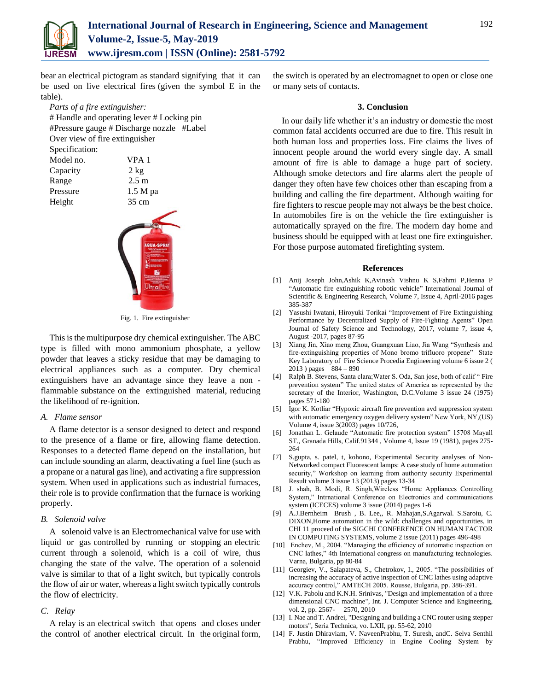

bear an electrical pictogram as standard signifying that it can be used on live electrical fires (given the symbol E in the table).

*Parts of a fire extinguisher:* # Handle and operating lever # Locking pin #Pressure gauge # Discharge nozzle #Label Over view of fire extinguisher

> VPA 1  $2$  kg  $2.5 m$  $1.5 M$  pa

Specification:

| ~ r - - - - - - - - - - |
|-------------------------|
| Model no.               |
| Capacity                |
| Range                   |
| Pressure                |
| Height                  |
|                         |



Fig. 1. Fire extinguisher

This is the multipurpose dry chemical extinguisher. The ABC type is filled with mono ammonium phosphate, a yellow powder that leaves a sticky residue that may be damaging to electrical appliances such as a computer. Dry chemical extinguishers have an advantage since they leave a non flammable substance on the extinguished material, reducing the likelihood of re-ignition.

## *A. Flame sensor*

A flame detector is a sensor designed to detect and respond to the presence of a flame or fire, allowing flame detection. Responses to a detected flame depend on the installation, but can include sounding an alarm, deactivating a fuel line (such as a propane or a natural gas line), and activating a fire suppression system. When used in applications such as industrial furnaces, their role is to provide confirmation that the furnace is working properly.

## *B. Solenoid valve*

A solenoid valve is an Electromechanical valve for use with liquid or gas controlled by running or stopping an electric current through a solenoid, which is a coil of wire, thus changing the state of the valve. The operation of a solenoid valve is similar to that of a light switch, but typically controls the flow of air or water, whereas a light switch typically controls the flow of electricity.

## *C. Relay*

A relay is an electrical switch that opens and closes under the control of another electrical circuit. In the original form,

the switch is operated by an electromagnet to open or close one or many sets of contacts.

### **3. Conclusion**

In our daily life whether it's an industry or domestic the most common fatal accidents occurred are due to fire. This result in both human loss and properties loss. Fire claims the lives of innocent people around the world every single day. A small amount of fire is able to damage a huge part of society. Although smoke detectors and fire alarms alert the people of danger they often have few choices other than escaping from a building and calling the fire department. Although waiting for fire fighters to rescue people may not always be the best choice. In automobiles fire is on the vehicle the fire extinguisher is automatically sprayed on the fire. The modern day home and business should be equipped with at least one fire extinguisher. For those purpose automated firefighting system.

#### **References**

- [1] Anij Joseph John,Ashik K,Avinash Vishnu K S,Fahmi P,Henna P "Automatic fire extinguishing robotic vehicle" International Journal of Scientific & Engineering Research, Volume 7, Issue 4, April-2016 pages 385-387
- [2] Yasushi Iwatani, Hiroyuki Torikai "Improvement of Fire Extinguishing Performance by Decentralized Supply of Fire-Fighting Agents" Open Journal of Safety Science and Technology, 2017, volume 7, issue 4, August -2017, pages 87-95
- [3] Xiang Jin, Xiao meng Zhou, Guangxuan Liao, Jia Wang "Synthesis and fire-extinguishing properties of Mono bromo trifluoro propene" State Key Laboratory of Fire Science Procedia Engineering volume 6 issue 2 ( 2013 ) pages 884 – 890
- [4] Ralph B. Stevens, Santa clara;Water S. Oda, San jose, both of calif " Fire prevention system" The united states of America as represented by the secretary of the Interior, Washington, D.C.Volume 3 issue 24 (1975) pages 571-180
- [5] Igor K. Kotliar "Hypoxic aircraft fire prevention avd suppression system with automatic emergency oxygen delivery system" New York, NY,(US) Volume 4, issue 3(2003) pages 10/726,
- [6] Jonathan L. Gelaude "Automatic fire protection system" 15708 Mayall ST., Granada Hills, Calif.91344 , Volume 4, Issue 19 (1981), pages 275- 264
- [7] S.gupta, s. patel, t, kohono, Experimental Security analyses of Non-Networked compact Fluorescent lamps: A case study of home automation security," Workshop on learning from authority security Experimental Result volume 3 issue 13 (2013) pages 13-34
- [8] J. shah, B. Modi, R. Singh,Wireless "Home Appliances Controlling System," Intrnational Conference on Electronics and communications system (ICECES) volume 3 issue (2014) pages 1-6
- [9] A.J.Bernheim Brush , B. Lee,, R. Mahajan,S.Agarwal. S.Saroiu, C. DIXON,Home automation in the wild: challenges and opportunities, in CHI 11 proceed of the SIGCHI CONFERENCE ON HUMAN FACTOR IN COMPUTING SYSTEMS, volume 2 issue (2011) pages 496-498
- [10] Enchev, M., 2004. "Managing the efficiency of automatic inspection on CNC lathes," 4th International congress on manufacturing technologies. Varna, Bulgaria, pp 80-84
- [11] Georgiev, V., Salapateva, S., Chetrokov, I., 2005. "The possibilities of increasing the accuracy of active inspection of CNC lathes using adaptive accuracy control," AMTECH 2005. Rousse, Bulgaria, pp. 386-391.
- [12] V.K. Pabolu and K.N.H. Srinivas, "Design and implementation of a three dimensional CNC machine", Int. J. Computer Science and Engineering, vol. 2, pp. 2567- 2570, 2010
- [13] I. Nae and T. Andrei, "Designing and building a CNC router using stepper motors", Seria Technica, vo. LXII, pp. 55-62, 2010
- [14] F. Justin Dhiraviam, V. NaveenPrabhu, T. Suresh, andC. Selva Senthil Prabhu, "Improved Efficiency in Engine Cooling System by